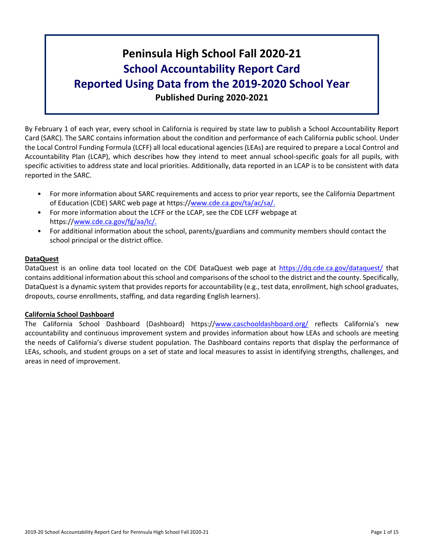# **Peninsula High School Fall 2020-21 School Accountability Report Card Reported Using Data from the 2019-2020 School Year Published During 2020-2021**

By February 1 of each year, every school in California is required by state law to publish a School Accountability Report Card (SARC). The SARC contains information about the condition and performance of each California public school. Under the Local Control Funding Formula (LCFF) all local educational agencies (LEAs) are required to prepare a Local Control and Accountability Plan (LCAP), which describes how they intend to meet annual school-specific goals for all pupils, with specific activities to address state and local priorities. Additionally, data reported in an LCAP is to be consistent with data reported in the SARC.

- For more information about SARC requirements and access to prior year reports, see the California Department of Education (CDE) SARC web page at https://[www.cde.ca.gov/ta/ac/sa/.](https://www.cde.ca.gov/ta/ac/sa/)
- For more information about the LCFF or the LCAP, see the CDE LCFF webpage at https://[www.cde.ca.gov/fg/aa/lc/.](https://www.cde.ca.gov/fg/aa/lc/)
- For additional information about the school, parents/guardians and community members should contact the school principal or the district office.

### **DataQuest**

DataQuest is an online data tool located on the CDE DataQuest web page at <https://dq.cde.ca.gov/dataquest/> that contains additional information about thisschool and comparisons of the school to the district and the county. Specifically, DataQuest is a dynamic system that provides reports for accountability (e.g., test data, enrollment, high school graduates, dropouts, course enrollments, staffing, and data regarding English learners).

#### **California School Dashboard**

The California School Dashboard (Dashboard) https://[www.caschooldashboard.org/](https://www.caschooldashboard.org/) reflects California's new accountability and continuous improvement system and provides information about how LEAs and schools are meeting the needs of California's diverse student population. The Dashboard contains reports that display the performance of LEAs, schools, and student groups on a set of state and local measures to assist in identifying strengths, challenges, and areas in need of improvement.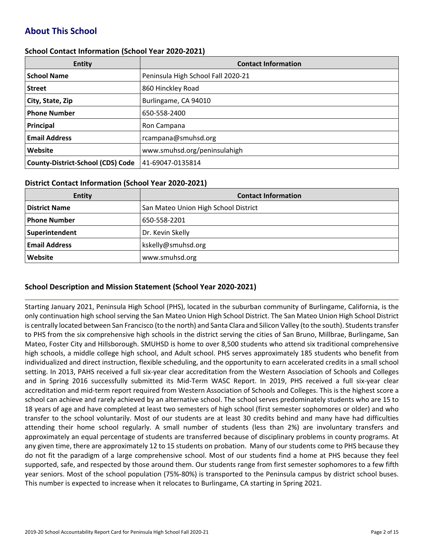# **About This School**

#### **School Contact Information (School Year 2020-2021)**

| <b>Entity</b>                            | <b>Contact Information</b>         |
|------------------------------------------|------------------------------------|
| <b>School Name</b>                       | Peninsula High School Fall 2020-21 |
| <b>Street</b>                            | 860 Hinckley Road                  |
| City, State, Zip                         | Burlingame, CA 94010               |
| <b>Phone Number</b>                      | 650-558-2400                       |
| Principal                                | Ron Campana                        |
| <b>Email Address</b>                     | rcampana@smuhsd.org                |
| Website                                  | www.smuhsd.org/peninsulahigh       |
| <b>County-District-School (CDS) Code</b> | 41-69047-0135814                   |

#### **District Contact Information (School Year 2020-2021)**

| <b>Entity</b>        | <b>Contact Information</b>           |
|----------------------|--------------------------------------|
| <b>District Name</b> | San Mateo Union High School District |
| <b>Phone Number</b>  | 650-558-2201                         |
| Superintendent       | Dr. Kevin Skelly                     |
| <b>Email Address</b> | kskelly@smuhsd.org                   |
| Website              | www.smuhsd.org                       |

### **School Description and Mission Statement (School Year 2020-2021)**

Starting January 2021, Peninsula High School (PHS), located in the suburban community of Burlingame, California, is the only continuation high school serving the San Mateo Union High School District. The San Mateo Union High School District is centrally located between San Francisco (to the north) and Santa Clara and Silicon Valley (to the south). Students transfer to PHS from the six comprehensive high schools in the district serving the cities of San Bruno, Millbrae, Burlingame, San Mateo, Foster City and Hillsborough. SMUHSD is home to over 8,500 students who attend six traditional comprehensive high schools, a middle college high school, and Adult school. PHS serves approximately 185 students who benefit from individualized and direct instruction, flexible scheduling, and the opportunity to earn accelerated credits in a small school setting. In 2013, PAHS received a full six-year clear accreditation from the Western Association of Schools and Colleges and in Spring 2016 successfully submitted its Mid-Term WASC Report. In 2019, PHS received a full six-year clear accreditation and mid-term report required from Western Association of Schools and Colleges. This is the highest score a school can achieve and rarely achieved by an alternative school. The school serves predominately students who are 15 to 18 years of age and have completed at least two semesters of high school (first semester sophomores or older) and who transfer to the school voluntarily. Most of our students are at least 30 credits behind and many have had difficulties attending their home school regularly. A small number of students (less than 2%) are involuntary transfers and approximately an equal percentage of students are transferred because of disciplinary problems in county programs. At any given time, there are approximately 12 to 15 students on probation. Many of our students come to PHS because they do not fit the paradigm of a large comprehensive school. Most of our students find a home at PHS because they feel supported, safe, and respected by those around them. Our students range from first semester sophomores to a few fifth year seniors. Most of the school population (75%-80%) is transported to the Peninsula campus by district school buses. This number is expected to increase when it relocates to Burlingame, CA starting in Spring 2021.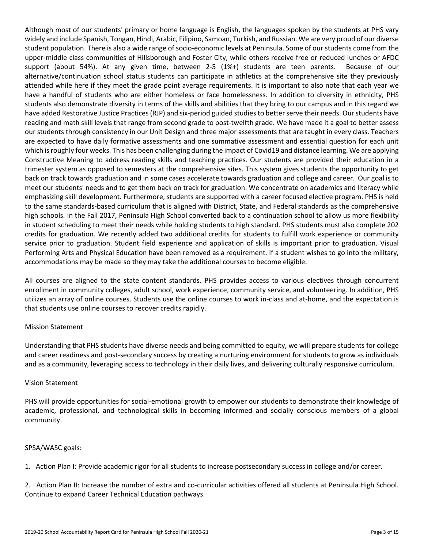Although most of our students' primary or home language is English, the languages spoken by the students at PHS vary widely and include Spanish, Tongan, Hindi, Arabic, Filipino, Samoan, Turkish, and Russian. We are very proud of our diverse student population. There is also a wide range of socio-economic levels at Peninsula. Some of our students come from the upper-middle class communities of Hillsborough and Foster City, while others receive free or reduced lunches or AFDC support (about 54%). At any given time, between 2-5 (1%+) students are teen parents. Because of our alternative/continuation school status students can participate in athletics at the comprehensive site they previously attended while here if they meet the grade point average requirements. It is important to also note that each year we have a handful of students who are either homeless or face homelessness. In addition to diversity in ethnicity, PHS students also demonstrate diversity in terms of the skills and abilities that they bring to our campus and in this regard we have added Restorative Justice Practices (RJP) and six-period guided studies to better serve their needs. Our students have reading and math skill levels that range from second grade to post-twelfth grade. We have made it a goal to better assess our students through consistency in our Unit Design and three major assessments that are taught in every class. Teachers are expected to have daily formative assessments and one summative assessment and essential question for each unit which is roughly four weeks. This has been challenging during the impact of Covid19 and distance learning. We are applying Constructive Meaning to address reading skills and teaching practices. Our students are provided their education in a trimester system as opposed to semesters at the comprehensive sites. This system gives students the opportunity to get back on track towards graduation and in some cases accelerate towards graduation and college and career. Our goal is to meet our students' needs and to get them back on track for graduation. We concentrate on academics and literacy while emphasizing skill development. Furthermore, students are supported with a career focused elective program. PHS is held to the same standards-based curriculum that is aligned with District, State, and Federal standards as the comprehensive high schools. In the Fall 2017, Peninsula High School converted back to a continuation school to allow us more flexibility in student scheduling to meet their needs while holding students to high standard. PHS students must also complete 202 credits for graduation. We recently added two additional credits for students to fulfill work experience or community service prior to graduation. Student field experience and application of skills is important prior to graduation. Visual Performing Arts and Physical Education have been removed as a requirement. If a student wishes to go into the military, accommodations may be made so they may take the additional courses to become eligible.

All courses are aligned to the state content standards. PHS provides access to various electives through concurrent enrollment in community colleges, adult school, work experience, community service, and volunteering. In addition, PHS utilizes an array of online courses. Students use the online courses to work in-class and at-home, and the expectation is that students use online courses to recover credits rapidly.

#### Mission Statement

Understanding that PHS students have diverse needs and being committed to equity, we will prepare students for college and career readiness and post-secondary success by creating a nurturing environment for students to grow as individuals and as a community, leveraging access to technology in their daily lives, and delivering culturally responsive curriculum.

#### Vision Statement

PHS will provide opportunities for social-emotional growth to empower our students to demonstrate their knowledge of academic, professional, and technological skills in becoming informed and socially conscious members of a global community.

#### SPSA/WASC goals:

1. Action Plan I: Provide academic rigor for all students to increase postsecondary success in college and/or career.

2. Action Plan II: Increase the number of extra and co-curricular activities offered all students at Peninsula High School. Continue to expand Career Technical Education pathways.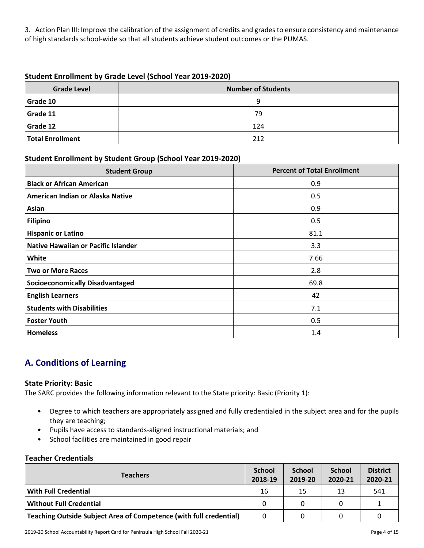3. Action Plan III: Improve the calibration of the assignment of credits and grades to ensure consistency and maintenance of high standards school-wide so that all students achieve student outcomes or the PUMAS.

### **Student Enrollment by Grade Level (School Year 2019-2020)**

| <b>Grade Level</b>      | <b>Number of Students</b> |  |  |  |  |  |
|-------------------------|---------------------------|--|--|--|--|--|
| Grade 10                | q                         |  |  |  |  |  |
| Grade 11                | 79                        |  |  |  |  |  |
| Grade 12                | 124                       |  |  |  |  |  |
| <b>Total Enrollment</b> | 212                       |  |  |  |  |  |

### **Student Enrollment by Student Group (School Year 2019-2020)**

| <b>Student Group</b>                   | <b>Percent of Total Enrollment</b> |
|----------------------------------------|------------------------------------|
| <b>Black or African American</b>       | 0.9                                |
| American Indian or Alaska Native       | 0.5                                |
| Asian                                  | 0.9                                |
| Filipino                               | 0.5                                |
| <b>Hispanic or Latino</b>              | 81.1                               |
| Native Hawaiian or Pacific Islander    | 3.3                                |
| White                                  | 7.66                               |
| <b>Two or More Races</b>               | 2.8                                |
| <b>Socioeconomically Disadvantaged</b> | 69.8                               |
| <b>English Learners</b>                | 42                                 |
| <b>Students with Disabilities</b>      | 7.1                                |
| <b>Foster Youth</b>                    | 0.5                                |
| <b>Homeless</b>                        | 1.4                                |

# **A. Conditions of Learning**

#### **State Priority: Basic**

The SARC provides the following information relevant to the State priority: Basic (Priority 1):

- Degree to which teachers are appropriately assigned and fully credentialed in the subject area and for the pupils they are teaching;
- Pupils have access to standards-aligned instructional materials; and
- School facilities are maintained in good repair

### **Teacher Credentials**

| <b>Teachers</b>                                                    |    | <b>School</b><br>2019-20 | <b>School</b><br>2020-21 | <b>District</b><br>2020-21 |
|--------------------------------------------------------------------|----|--------------------------|--------------------------|----------------------------|
| <b>With Full Credential</b>                                        | 16 | 15                       | 13                       | 541                        |
| <b>Without Full Credential</b>                                     | 0  | 0                        |                          |                            |
| Teaching Outside Subject Area of Competence (with full credential) | 0  | 0                        |                          |                            |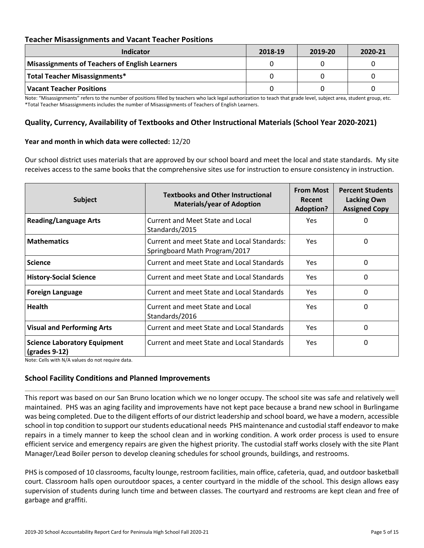### **Teacher Misassignments and Vacant Teacher Positions**

| Indicator                                             | 2018-19 | 2019-20 | 2020-21 |
|-------------------------------------------------------|---------|---------|---------|
| <b>Misassignments of Teachers of English Learners</b> |         |         |         |
| Total Teacher Misassignments*                         |         |         |         |
| <b>Vacant Teacher Positions</b>                       |         |         |         |

Note: "Misassignments" refers to the number of positions filled by teachers who lack legal authorization to teach that grade level, subject area, student group, etc. \*Total Teacher Misassignments includes the number of Misassignments of Teachers of English Learners.

### **Quality, Currency, Availability of Textbooks and Other Instructional Materials (School Year 2020-2021)**

#### **Year and month in which data were collected:** 12/20

Our school district uses materials that are approved by our school board and meet the local and state standards. My site receives access to the same books that the comprehensive sites use for instruction to ensure consistency in instruction.

| <b>Subject</b>                                                        | <b>Textbooks and Other Instructional</b><br><b>Materials/year of Adoption</b> | <b>From Most</b><br>Recent<br><b>Adoption?</b> | <b>Percent Students</b><br><b>Lacking Own</b><br><b>Assigned Copy</b> |  |
|-----------------------------------------------------------------------|-------------------------------------------------------------------------------|------------------------------------------------|-----------------------------------------------------------------------|--|
| <b>Reading/Language Arts</b>                                          | Current and Meet State and Local<br>Standards/2015                            | <b>Yes</b>                                     | 0                                                                     |  |
| <b>Mathematics</b>                                                    | Current and meet State and Local Standards:<br>Springboard Math Program/2017  | Yes.                                           | 0                                                                     |  |
| <b>Science</b>                                                        | Current and meet State and Local Standards                                    | Yes.                                           | 0                                                                     |  |
| <b>History-Social Science</b>                                         | Current and meet State and Local Standards                                    | Yes                                            | 0                                                                     |  |
| <b>Foreign Language</b>                                               | Current and meet State and Local Standards                                    | <b>Yes</b>                                     | 0                                                                     |  |
| <b>Health</b>                                                         | Current and meet State and Local<br>Standards/2016                            | <b>Yes</b>                                     | 0                                                                     |  |
| <b>Visual and Performing Arts</b>                                     | Current and meet State and Local Standards                                    | <b>Yes</b>                                     | 0                                                                     |  |
| <b>Science Laboratory Equipment</b><br>$\left($ grades 9-12 $\right)$ | Current and meet State and Local Standards                                    | <b>Yes</b>                                     | 0                                                                     |  |

Note: Cells with N/A values do not require data.

#### **School Facility Conditions and Planned Improvements**

This report was based on our San Bruno location which we no longer occupy. The school site was safe and relatively well maintained. PHS was an aging facility and improvements have not kept pace because a brand new school in Burlingame was being completed. Due to the diligent efforts of our district leadership and school board, we have a modern, accessible school in top condition to support our students educational needs PHS maintenance and custodial staff endeavor to make repairs in a timely manner to keep the school clean and in working condition. A work order process is used to ensure efficient service and emergency repairs are given the highest priority. The custodial staff works closely with the site Plant Manager/Lead Boiler person to develop cleaning schedules for school grounds, buildings, and restrooms.

PHS is composed of 10 classrooms, faculty lounge, restroom facilities, main office, cafeteria, quad, and outdoor basketball court. Classroom halls open ouroutdoor spaces, a center courtyard in the middle of the school. This design allows easy supervision of students during lunch time and between classes. The courtyard and restrooms are kept clean and free of garbage and graffiti.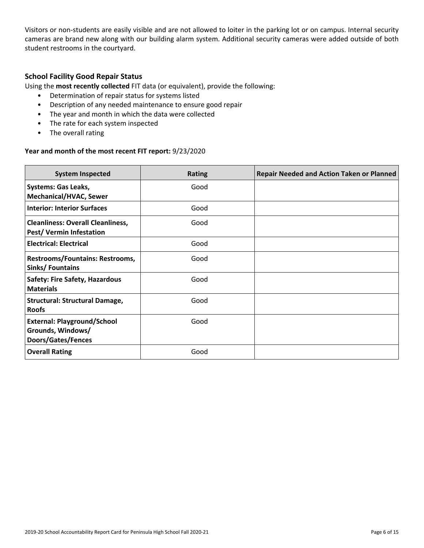Visitors or non-students are easily visible and are not allowed to loiter in the parking lot or on campus. Internal security cameras are brand new along with our building alarm system. Additional security cameras were added outside of both student restrooms in the courtyard.

### **School Facility Good Repair Status**

Using the **most recently collected** FIT data (or equivalent), provide the following:

- Determination of repair status for systems listed
- Description of any needed maintenance to ensure good repair
- The year and month in which the data were collected
- The rate for each system inspected
- The overall rating

### **Year and month of the most recent FIT report:** 9/23/2020

| <b>System Inspected</b>                                                              | <b>Rating</b> | <b>Repair Needed and Action Taken or Planned</b> |
|--------------------------------------------------------------------------------------|---------------|--------------------------------------------------|
| <b>Systems: Gas Leaks,</b><br><b>Mechanical/HVAC, Sewer</b>                          | Good          |                                                  |
| <b>Interior: Interior Surfaces</b>                                                   | Good          |                                                  |
| <b>Cleanliness: Overall Cleanliness,</b><br>Pest/Vermin Infestation                  | Good          |                                                  |
| <b>Electrical: Electrical</b>                                                        | Good          |                                                  |
| Restrooms/Fountains: Restrooms,<br>Sinks/Fountains                                   | Good          |                                                  |
| <b>Safety: Fire Safety, Hazardous</b><br><b>Materials</b>                            | Good          |                                                  |
| <b>Structural: Structural Damage,</b><br><b>Roofs</b>                                | Good          |                                                  |
| <b>External: Playground/School</b><br>Grounds, Windows/<br><b>Doors/Gates/Fences</b> | Good          |                                                  |
| <b>Overall Rating</b>                                                                | Good          |                                                  |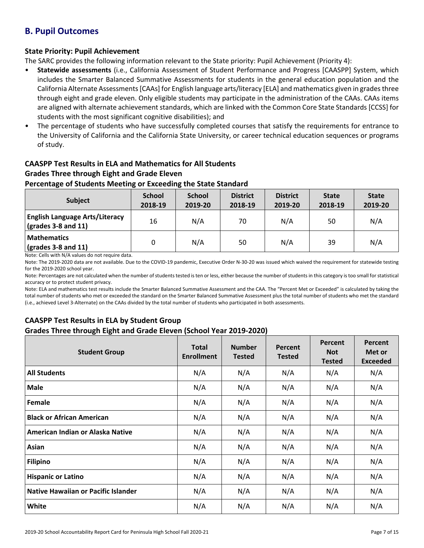# **B. Pupil Outcomes**

### **State Priority: Pupil Achievement**

The SARC provides the following information relevant to the State priority: Pupil Achievement (Priority 4):

- **Statewide assessments** (i.e., California Assessment of Student Performance and Progress [CAASPP] System, which includes the Smarter Balanced Summative Assessments for students in the general education population and the California Alternate Assessments [CAAs] for English language arts/literacy [ELA] and mathematics given in grades three through eight and grade eleven. Only eligible students may participate in the administration of the CAAs. CAAs items are aligned with alternate achievement standards, which are linked with the Common Core State Standards [CCSS] for students with the most significant cognitive disabilities); and
- The percentage of students who have successfully completed courses that satisfy the requirements for entrance to the University of California and the California State University, or career technical education sequences or programs of study.

### **CAASPP Test Results in ELA and Mathematics for All Students Grades Three through Eight and Grade Eleven**

### **Percentage of Students Meeting or Exceeding the State Standard**

| <b>Subject</b>                                                                    | <b>School</b><br>2018-19 | <b>School</b><br>2019-20 | <b>District</b><br>2018-19 | <b>District</b><br>2019-20 | <b>State</b><br>2018-19 | <b>State</b><br>2019-20 |
|-----------------------------------------------------------------------------------|--------------------------|--------------------------|----------------------------|----------------------------|-------------------------|-------------------------|
| <b>English Language Arts/Literacy</b><br>$\left(\text{grades }3-8\right)$ and 11) | 16                       | N/A                      | 70                         | N/A                        | 50                      | N/A                     |
| <b>Mathematics</b><br>$\sqrt{grades}$ 3-8 and 11)                                 |                          | N/A                      | 50                         | N/A                        | 39                      | N/A                     |

Note: Cells with N/A values do not require data.

Note: The 2019-2020 data are not available. Due to the COVID-19 pandemic, Executive Order N-30-20 was issued which waived the requirement for statewide testing for the 2019-2020 school year.

Note: Percentages are not calculated when the number of students tested is ten or less, either because the number of students in this category is too small for statistical accuracy or to protect student privacy.

Note: ELA and mathematics test results include the Smarter Balanced Summative Assessment and the CAA. The "Percent Met or Exceeded" is calculated by taking the total number of students who met or exceeded the standard on the Smarter Balanced Summative Assessment plus the total number of students who met the standard (i.e., achieved Level 3-Alternate) on the CAAs divided by the total number of students who participated in both assessments.

### **CAASPP Test Results in ELA by Student Group Grades Three through Eight and Grade Eleven (School Year 2019-2020)**

| <b>Student Group</b>                       | <b>Total</b><br><b>Enrollment</b> | <b>Number</b><br><b>Tested</b> | Percent<br><b>Tested</b> | Percent<br><b>Not</b><br><b>Tested</b> | Percent<br>Met or<br><b>Exceeded</b> |
|--------------------------------------------|-----------------------------------|--------------------------------|--------------------------|----------------------------------------|--------------------------------------|
| <b>All Students</b>                        | N/A                               | N/A                            | N/A                      | N/A                                    | N/A                                  |
| <b>Male</b>                                | N/A                               | N/A                            | N/A                      | N/A                                    | N/A                                  |
| Female                                     | N/A                               | N/A                            | N/A                      | N/A                                    | N/A                                  |
| <b>Black or African American</b>           | N/A                               | N/A                            | N/A                      | N/A                                    | N/A                                  |
| American Indian or Alaska Native           | N/A                               | N/A                            | N/A                      | N/A                                    | N/A                                  |
| Asian                                      | N/A                               | N/A                            | N/A                      | N/A                                    | N/A                                  |
| <b>Filipino</b>                            | N/A                               | N/A                            | N/A                      | N/A                                    | N/A                                  |
| <b>Hispanic or Latino</b>                  | N/A                               | N/A                            | N/A                      | N/A                                    | N/A                                  |
| <b>Native Hawaiian or Pacific Islander</b> | N/A                               | N/A                            | N/A                      | N/A                                    | N/A                                  |
| White                                      | N/A                               | N/A                            | N/A                      | N/A                                    | N/A                                  |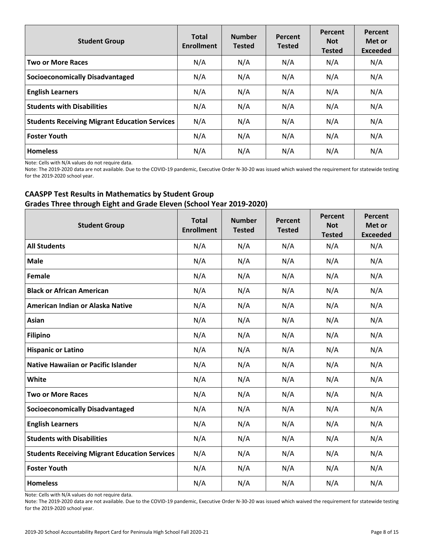| <b>Student Group</b>                                 | <b>Total</b><br><b>Enrollment</b> | <b>Number</b><br><b>Tested</b> | Percent<br><b>Tested</b> | Percent<br><b>Not</b><br><b>Tested</b> | Percent<br>Met or<br><b>Exceeded</b> |
|------------------------------------------------------|-----------------------------------|--------------------------------|--------------------------|----------------------------------------|--------------------------------------|
| <b>Two or More Races</b>                             | N/A                               | N/A                            | N/A                      | N/A                                    | N/A                                  |
| <b>Socioeconomically Disadvantaged</b>               | N/A                               | N/A                            | N/A                      | N/A                                    | N/A                                  |
| <b>English Learners</b>                              | N/A                               | N/A                            | N/A                      | N/A                                    | N/A                                  |
| <b>Students with Disabilities</b>                    | N/A                               | N/A                            | N/A                      | N/A                                    | N/A                                  |
| <b>Students Receiving Migrant Education Services</b> | N/A                               | N/A                            | N/A                      | N/A                                    | N/A                                  |
| <b>Foster Youth</b>                                  | N/A                               | N/A                            | N/A                      | N/A                                    | N/A                                  |
| <b>Homeless</b>                                      | N/A                               | N/A                            | N/A                      | N/A                                    | N/A                                  |

Note: Cells with N/A values do not require data.

Note: The 2019-2020 data are not available. Due to the COVID-19 pandemic, Executive Order N-30-20 was issued which waived the requirement for statewide testing for the 2019-2020 school year.

### **CAASPP Test Results in Mathematics by Student Group Grades Three through Eight and Grade Eleven (School Year 2019-2020)**

| <b>Student Group</b>                                 | <b>Total</b><br><b>Enrollment</b> | <b>Number</b><br><b>Tested</b> | Percent<br><b>Tested</b> | Percent<br><b>Not</b><br><b>Tested</b> | Percent<br>Met or<br><b>Exceeded</b> |
|------------------------------------------------------|-----------------------------------|--------------------------------|--------------------------|----------------------------------------|--------------------------------------|
| <b>All Students</b>                                  | N/A                               | N/A                            | N/A                      | N/A                                    | N/A                                  |
| <b>Male</b>                                          | N/A                               | N/A                            | N/A                      | N/A                                    | N/A                                  |
| Female                                               | N/A                               | N/A                            | N/A                      | N/A                                    | N/A                                  |
| <b>Black or African American</b>                     | N/A                               | N/A                            | N/A                      | N/A                                    | N/A                                  |
| American Indian or Alaska Native                     | N/A                               | N/A                            | N/A                      | N/A                                    | N/A                                  |
| Asian                                                | N/A                               | N/A                            | N/A                      | N/A                                    | N/A                                  |
| <b>Filipino</b>                                      | N/A                               | N/A                            | N/A                      | N/A                                    | N/A                                  |
| <b>Hispanic or Latino</b>                            | N/A                               | N/A                            | N/A                      | N/A                                    | N/A                                  |
| <b>Native Hawaiian or Pacific Islander</b>           | N/A                               | N/A                            | N/A                      | N/A                                    | N/A                                  |
| White                                                | N/A                               | N/A                            | N/A                      | N/A                                    | N/A                                  |
| <b>Two or More Races</b>                             | N/A                               | N/A                            | N/A                      | N/A                                    | N/A                                  |
| <b>Socioeconomically Disadvantaged</b>               | N/A                               | N/A                            | N/A                      | N/A                                    | N/A                                  |
| <b>English Learners</b>                              | N/A                               | N/A                            | N/A                      | N/A                                    | N/A                                  |
| <b>Students with Disabilities</b>                    | N/A                               | N/A                            | N/A                      | N/A                                    | N/A                                  |
| <b>Students Receiving Migrant Education Services</b> | N/A                               | N/A                            | N/A                      | N/A                                    | N/A                                  |
| <b>Foster Youth</b>                                  | N/A                               | N/A                            | N/A                      | N/A                                    | N/A                                  |
| <b>Homeless</b>                                      | N/A                               | N/A                            | N/A                      | N/A                                    | N/A                                  |

Note: Cells with N/A values do not require data.

Note: The 2019-2020 data are not available. Due to the COVID-19 pandemic, Executive Order N-30-20 was issued which waived the requirement for statewide testing for the 2019-2020 school year.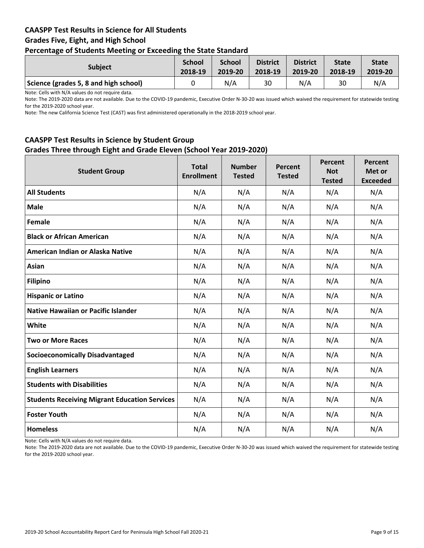### **CAASPP Test Results in Science for All Students Grades Five, Eight, and High School Percentage of Students Meeting or Exceeding the State Standard**

| . .                                   |                          |                          |                            |                            |                         |                         |
|---------------------------------------|--------------------------|--------------------------|----------------------------|----------------------------|-------------------------|-------------------------|
| <b>Subject</b>                        | <b>School</b><br>2018-19 | <b>School</b><br>2019-20 | <b>District</b><br>2018-19 | <b>District</b><br>2019-20 | <b>State</b><br>2018-19 | <b>State</b><br>2019-20 |
| Science (grades 5, 8 and high school) |                          | N/A                      | 30                         | N/A                        | 30                      | N/A                     |

Note: Cells with N/A values do not require data.

Note: The 2019-2020 data are not available. Due to the COVID-19 pandemic, Executive Order N-30-20 was issued which waived the requirement for statewide testing for the 2019-2020 school year.

Note: The new California Science Test (CAST) was first administered operationally in the 2018-2019 school year.

### **CAASPP Test Results in Science by Student Group Grades Three through Eight and Grade Eleven (School Year 2019-2020)**

| <b>Student Group</b>                                 | <b>Total</b><br><b>Enrollment</b> | <b>Number</b><br><b>Tested</b> | Percent<br><b>Tested</b> | Percent<br><b>Not</b><br><b>Tested</b> | Percent<br>Met or<br><b>Exceeded</b> |
|------------------------------------------------------|-----------------------------------|--------------------------------|--------------------------|----------------------------------------|--------------------------------------|
| <b>All Students</b>                                  | N/A                               | N/A                            | N/A                      | N/A                                    | N/A                                  |
| <b>Male</b>                                          | N/A                               | N/A                            | N/A                      | N/A                                    | N/A                                  |
| Female                                               | N/A                               | N/A                            | N/A                      | N/A                                    | N/A                                  |
| <b>Black or African American</b>                     | N/A                               | N/A                            | N/A                      | N/A                                    | N/A                                  |
| American Indian or Alaska Native                     | N/A                               | N/A                            | N/A                      | N/A                                    | N/A                                  |
| Asian                                                | N/A                               | N/A                            | N/A                      | N/A                                    | N/A                                  |
| <b>Filipino</b>                                      | N/A                               | N/A                            | N/A                      | N/A                                    | N/A                                  |
| <b>Hispanic or Latino</b>                            | N/A                               | N/A                            | N/A                      | N/A                                    | N/A                                  |
| <b>Native Hawaiian or Pacific Islander</b>           | N/A                               | N/A                            | N/A                      | N/A                                    | N/A                                  |
| White                                                | N/A                               | N/A                            | N/A                      | N/A                                    | N/A                                  |
| <b>Two or More Races</b>                             | N/A                               | N/A                            | N/A                      | N/A                                    | N/A                                  |
| <b>Socioeconomically Disadvantaged</b>               | N/A                               | N/A                            | N/A                      | N/A                                    | N/A                                  |
| <b>English Learners</b>                              | N/A                               | N/A                            | N/A                      | N/A                                    | N/A                                  |
| <b>Students with Disabilities</b>                    | N/A                               | N/A                            | N/A                      | N/A                                    | N/A                                  |
| <b>Students Receiving Migrant Education Services</b> | N/A                               | N/A                            | N/A                      | N/A                                    | N/A                                  |
| <b>Foster Youth</b>                                  | N/A                               | N/A                            | N/A                      | N/A                                    | N/A                                  |
| <b>Homeless</b>                                      | N/A                               | N/A                            | N/A                      | N/A                                    | N/A                                  |

Note: Cells with N/A values do not require data.

Note: The 2019-2020 data are not available. Due to the COVID-19 pandemic, Executive Order N-30-20 was issued which waived the requirement for statewide testing for the 2019-2020 school year.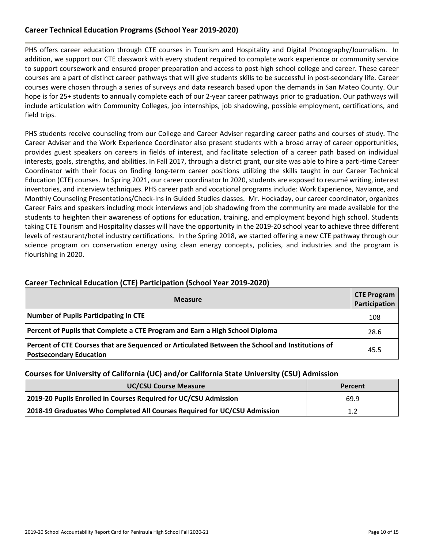### **Career Technical Education Programs (School Year 2019-2020)**

PHS offers career education through CTE courses in Tourism and Hospitality and Digital Photography/Journalism. In addition, we support our CTE classwork with every student required to complete work experience or community service to support coursework and ensured proper preparation and access to post-high school college and career. These career courses are a part of distinct career pathways that will give students skills to be successful in post-secondary life. Career courses were chosen through a series of surveys and data research based upon the demands in San Mateo County. Our hope is for 25+ students to annually complete each of our 2-year career pathways prior to graduation. Our pathways will include articulation with Community Colleges, job internships, job shadowing, possible employment, certifications, and field trips.

PHS students receive counseling from our College and Career Adviser regarding career paths and courses of study. The Career Adviser and the Work Experience Coordinator also present students with a broad array of career opportunities, provides guest speakers on careers in fields of interest, and facilitate selection of a career path based on individual interests, goals, strengths, and abilities. In Fall 2017, through a district grant, our site was able to hire a parti-time Career Coordinator with their focus on finding long-term career positions utilizing the skills taught in our Career Technical Education (CTE) courses. In Spring 2021, our career coordinator In 2020, students are exposed to resumé writing, interest inventories, and interview techniques. PHS career path and vocational programs include: Work Experience, Naviance, and Monthly Counseling Presentations/Check-Ins in Guided Studies classes. Mr. Hockaday, our career coordinator, organizes Career Fairs and speakers including mock interviews and job shadowing from the community are made available for the students to heighten their awareness of options for education, training, and employment beyond high school. Students taking CTE Tourism and Hospitality classes will have the opportunity in the 2019-20 school year to achieve three different levels of restaurant/hotel industry certifications. In the Spring 2018, we started offering a new CTE pathway through our science program on conservation energy using clean energy concepts, policies, and industries and the program is flourishing in 2020.

| <b>Measure</b>                                                                                                                    |      |  |  |  |  |  |
|-----------------------------------------------------------------------------------------------------------------------------------|------|--|--|--|--|--|
| <b>Number of Pupils Participating in CTE</b>                                                                                      | 108  |  |  |  |  |  |
| Percent of Pupils that Complete a CTE Program and Earn a High School Diploma                                                      |      |  |  |  |  |  |
| Percent of CTE Courses that are Sequenced or Articulated Between the School and Institutions of<br><b>Postsecondary Education</b> | 45.5 |  |  |  |  |  |

### **Career Technical Education (CTE) Participation (School Year 2019-2020)**

### **Courses for University of California (UC) and/or California State University (CSU) Admission**

| <b>UC/CSU Course Measure</b>                                              | Percent |
|---------------------------------------------------------------------------|---------|
| 2019-20 Pupils Enrolled in Courses Required for UC/CSU Admission          | 69.9    |
| 2018-19 Graduates Who Completed All Courses Required for UC/CSU Admission | 1.2     |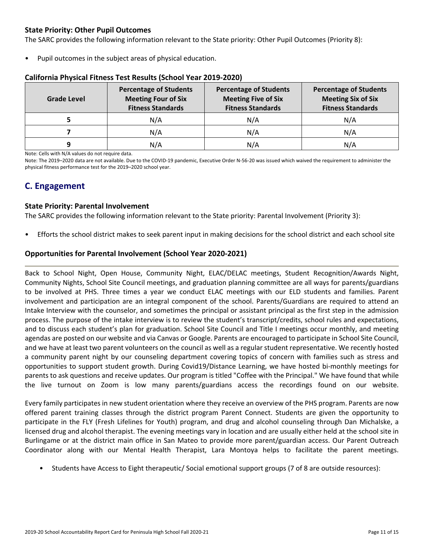### **State Priority: Other Pupil Outcomes**

The SARC provides the following information relevant to the State priority: Other Pupil Outcomes (Priority 8):

Pupil outcomes in the subject areas of physical education.

| <b>Grade Level</b> | <b>Percentage of Students</b><br><b>Meeting Four of Six</b><br><b>Fitness Standards</b> | <b>Percentage of Students</b><br><b>Meeting Five of Six</b><br><b>Fitness Standards</b> | <b>Percentage of Students</b><br><b>Meeting Six of Six</b><br><b>Fitness Standards</b> |
|--------------------|-----------------------------------------------------------------------------------------|-----------------------------------------------------------------------------------------|----------------------------------------------------------------------------------------|
|                    | N/A                                                                                     | N/A                                                                                     | N/A                                                                                    |
|                    | N/A                                                                                     | N/A                                                                                     | N/A                                                                                    |
| q                  | N/A                                                                                     | N/A                                                                                     | N/A                                                                                    |

#### **California Physical Fitness Test Results (School Year 2019-2020)**

Note: Cells with N/A values do not require data.

Note: The 2019–2020 data are not available. Due to the COVID-19 pandemic, Executive Order N-56-20 was issued which waived the requirement to administer the physical fitness performance test for the 2019–2020 school year.

# **C. Engagement**

### **State Priority: Parental Involvement**

The SARC provides the following information relevant to the State priority: Parental Involvement (Priority 3):

• Efforts the school district makes to seek parent input in making decisions for the school district and each school site

### **Opportunities for Parental Involvement (School Year 2020-2021)**

Back to School Night, Open House, Community Night, ELAC/DELAC meetings, Student Recognition/Awards Night, Community Nights, School Site Council meetings, and graduation planning committee are all ways for parents/guardians to be involved at PHS. Three times a year we conduct ELAC meetings with our ELD students and families. Parent involvement and participation are an integral component of the school. Parents/Guardians are required to attend an Intake Interview with the counselor, and sometimes the principal or assistant principal as the first step in the admission process. The purpose of the intake interview is to review the student's transcript/credits, school rules and expectations, and to discuss each student's plan for graduation. School Site Council and Title I meetings occur monthly, and meeting agendas are posted on our website and via Canvas or Google. Parents are encouraged to participate in School Site Council, and we have at least two parent volunteers on the council as well as a regular student representative. We recently hosted a community parent night by our counseling department covering topics of concern with families such as stress and opportunities to support student growth. During Covid19/Distance Learning, we have hosted bi-monthly meetings for parents to ask questions and receive updates. Our program is titled "Coffee with the Principal." We have found that while the live turnout on Zoom is low many parents/guardians access the recordings found on our website.

Every family participates in new student orientation where they receive an overview of the PHS program. Parents are now offered parent training classes through the district program Parent Connect. Students are given the opportunity to participate in the FLY (Fresh Lifelines for Youth) program, and drug and alcohol counseling through Dan Michalske, a licensed drug and alcohol therapist. The evening meetings vary in location and are usually either held at the school site in Burlingame or at the district main office in San Mateo to provide more parent/guardian access. Our Parent Outreach Coordinator along with our Mental Health Therapist, Lara Montoya helps to facilitate the parent meetings.

• Students have Access to Eight therapeutic/ Social emotional support groups (7 of 8 are outside resources):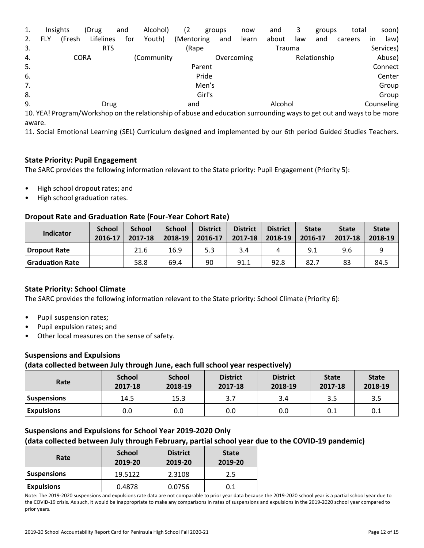| 1. |     | Insights    | (Drug      | and | Alcohol)                                                                                                            | (2)        |        | groups     | now   | and     | 3   | groups       | total   |                         | soon)      |
|----|-----|-------------|------------|-----|---------------------------------------------------------------------------------------------------------------------|------------|--------|------------|-------|---------|-----|--------------|---------|-------------------------|------------|
| 2. | FLY | (Fresh      | Lifelines  | for | Youth)                                                                                                              | (Mentoring |        | and        | learn | about   | law | and          | careers | $\mathsf{I} \mathsf{n}$ | law)       |
| 3. |     |             | <b>RTS</b> |     |                                                                                                                     | (Rape      |        |            |       | Trauma  |     |              |         |                         | Services)  |
| 4. |     | <b>CORA</b> |            |     | (Community)                                                                                                         |            |        | Overcoming |       |         |     | Relationship |         |                         | Abuse)     |
| 5. |     |             |            |     |                                                                                                                     |            | Parent |            |       |         |     |              |         |                         | Connect    |
| 6. |     |             |            |     |                                                                                                                     |            | Pride  |            |       |         |     |              |         |                         | Center     |
| 7. |     |             |            |     |                                                                                                                     |            | Men's  |            |       |         |     |              |         |                         | Group      |
| 8. |     |             |            |     |                                                                                                                     |            | Girl's |            |       |         |     |              |         |                         | Group      |
| 9. |     |             | Drug       |     |                                                                                                                     | and        |        |            |       | Alcohol |     |              |         |                         | Counseling |
|    |     |             |            |     | 10 YEAL Program/Workshop on the relationship of abuse and education surrounding ways to get out and ways to be more |            |        |            |       |         |     |              |         |                         |            |

10. YEA! Program/Workshop on the relationship of abuse and education surrounding waysto get out and waysto be more aware.

11. Social Emotional Learning (SEL) Curriculum designed and implemented by our 6th period Guided Studies Teachers.

### **State Priority: Pupil Engagement**

The SARC provides the following information relevant to the State priority: Pupil Engagement (Priority 5):

- High school dropout rates; and
- High school graduation rates.

### **Dropout Rate and Graduation Rate (Four-Year Cohort Rate)**

| <b>Indicator</b>       | <b>School</b><br>2016-17 | <b>School</b><br>2017-18 | <b>School</b><br>2018-19 | <b>District</b><br>2016-17 | <b>District</b><br>2017-18 | <b>District</b><br>2018-19 | <b>State</b><br>2016-17 | <b>State</b><br>2017-18 | <b>State</b><br>2018-19 |
|------------------------|--------------------------|--------------------------|--------------------------|----------------------------|----------------------------|----------------------------|-------------------------|-------------------------|-------------------------|
| Dropout Rate           |                          | 21.6                     | 16.9                     | 5.3                        | 3.4                        |                            | 9.1                     | 9.6                     |                         |
| <b>Graduation Rate</b> |                          | 58.8                     | 69.4                     | 90                         | 91.1                       | 92.8                       | 82.7                    | 83                      | 84.5                    |

### **State Priority: School Climate**

The SARC provides the following information relevant to the State priority: School Climate (Priority 6):

- Pupil suspension rates;
- Pupil expulsion rates; and
- Other local measures on the sense of safety.

#### **Suspensions and Expulsions**

#### **(data collected between July through June, each full school year respectively)**

| Rate               | <b>School</b><br>2017-18 | <b>School</b><br>2018-19 | <b>District</b><br>2017-18 | <b>District</b><br>2018-19 | <b>State</b><br>2017-18 | <b>State</b><br>2018-19 |
|--------------------|--------------------------|--------------------------|----------------------------|----------------------------|-------------------------|-------------------------|
| <b>Suspensions</b> | 14.5                     | 15.3                     |                            | 3.4                        | 3.5                     | 3.5                     |
| <b>Expulsions</b>  | 0.0                      | 0.0                      | 0.0                        | 0.0                        | 0.1                     | 0.1                     |

# **Suspensions and Expulsions for School Year 2019-2020 Only**

### **(data collected between July through February, partial school year due to the COVID-19 pandemic)**

| Rate               | <b>School</b><br>2019-20 | <b>District</b><br>2019-20 | <b>State</b><br>2019-20 |
|--------------------|--------------------------|----------------------------|-------------------------|
| <b>Suspensions</b> | 19.5122                  | 2.3108                     | 2.5                     |
| <b>Expulsions</b>  | 0.4878                   | 0.0756                     | 0.1                     |

Note: The 2019-2020 suspensions and expulsions rate data are not comparable to prior year data because the 2019-2020 school year is a partial school year due to the COVID-19 crisis. As such, it would be inappropriate to make any comparisons in rates of suspensions and expulsions in the 2019-2020 school year compared to prior years.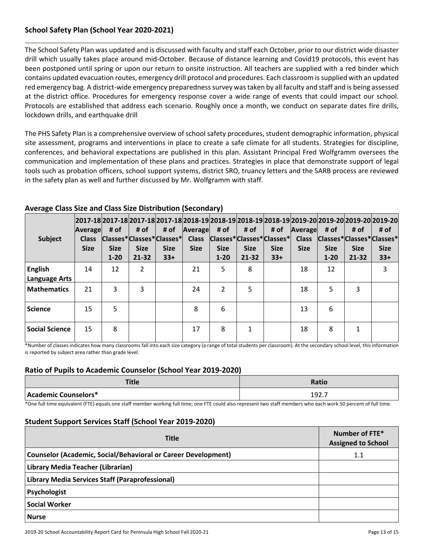### **School Safety Plan (School Year 2020-2021)**

The School Safety Plan was updated and is discussed with faculty and staff each October, prior to our district wide disaster drill which usually takes place around mid-October. Because of distance learning and Covid19 protocols, this event has been postponed until spring or upon our return to onsite instruction. All teachers are supplied with a red binder which contains updated evacuation routes, emergency drill protocol and procedures. Each classroom issupplied with an updated red emergency bag. A district-wide emergency preparednesssurvey wastaken by all faculty and staff and is being assessed at the district office. Procedures for emergency response cover a wide range of events that could impact our school. Protocols are established that address each scenario. Roughly once a month, we conduct on separate dates fire drills, lockdown drills, and earthquake drill

The PHS Safety Plan is a comprehensive overview of school safety procedures, student demographic information, physical site assessment, programs and interventions in place to create a safe climate for all students. Strategies for discipline, conferences, and behavioral expectations are published in this plan. Assistant Principal Fred Wolfgramm oversees the communication and implementation of these plans and practices. Strategies in place that demonstrate support of legal tools such as probation officers, school support systems, district SRO, truancy letters and the SARB process are reviewed in the safety plan as well and further discussed by Mr. Wolfgramm with staff.

| <b>Subject</b>                         | Average<br><b>Class</b><br><b>Size</b> | # of<br>Classes*Classes*Classes*<br><b>Size</b><br>$1 - 20$ | # of<br><b>Size</b><br>$21 - 32$ | # of<br><b>Size</b><br>$33+$ | Average<br><b>Class</b><br><b>Size</b> | # of<br><b>Size</b><br>$1 - 20$ | # of<br><b>Size</b><br>$21 - 32$ | # of<br> Classes* Classes* Classes* <br><b>Size</b><br>$33+$ | Average<br><b>Class</b><br><b>Size</b> | # of<br><b>Size</b><br>$1 - 20$ | # of<br><b>Size</b><br>$21 - 32$ | 2017-18 2017-18 2017-18 2017-18 2018-19 2018-19 2018-19 2018-19 2019-20 2019-20 2019-20 2019-20 <br># of<br>Classes*Classes*Classes*<br><b>Size</b><br>$33+$ |
|----------------------------------------|----------------------------------------|-------------------------------------------------------------|----------------------------------|------------------------------|----------------------------------------|---------------------------------|----------------------------------|--------------------------------------------------------------|----------------------------------------|---------------------------------|----------------------------------|--------------------------------------------------------------------------------------------------------------------------------------------------------------|
| <b>English</b><br><b>Language Arts</b> | 14                                     | 12                                                          | $\overline{2}$                   |                              | 21                                     | 5                               | 8                                |                                                              | 18                                     | 12                              |                                  | 3                                                                                                                                                            |
| <b>Mathematics</b>                     | 21                                     | 3                                                           | 3                                |                              | 24                                     | $\mathcal{P}$                   | 5                                |                                                              | 18                                     | 5                               | 3                                |                                                                                                                                                              |
| <b>Science</b>                         | 15                                     | 5                                                           |                                  |                              | 8                                      | 6                               |                                  |                                                              | 13                                     | 6                               |                                  |                                                                                                                                                              |
| <b>Social Science</b>                  | 15                                     | 8                                                           |                                  |                              | 17                                     | 8                               | 1                                |                                                              | 18                                     | 8                               | 1                                |                                                                                                                                                              |

### **Average Class Size and Class Size Distribution (Secondary)**

\*Number of classes indicates how many classrooms fall into each size category (a range of total students per classroom). At the secondary school level, this information is reported by subject area rather than grade level.

### **Ratio of Pupils to Academic Counselor (School Year 2019-2020)**

| <b>Title</b>         | <b>Ratio</b>       |
|----------------------|--------------------|
| Academic Counselors* | 192.7<br>-<br>____ |

\*One full time equivalent (FTE) equals one staff member working full time; one FTE could also represent two staff members who each work 50 percent of full time.

#### **Student Support Services Staff (School Year 2019-2020)**

| <b>Title</b>                                                  | Number of FTE*<br><b>Assigned to School</b> |
|---------------------------------------------------------------|---------------------------------------------|
| Counselor (Academic, Social/Behavioral or Career Development) | $1.1\,$                                     |
| Library Media Teacher (Librarian)                             |                                             |
| Library Media Services Staff (Paraprofessional)               |                                             |
| <b>Psychologist</b>                                           |                                             |
| <b>Social Worker</b>                                          |                                             |
| <b>Nurse</b>                                                  |                                             |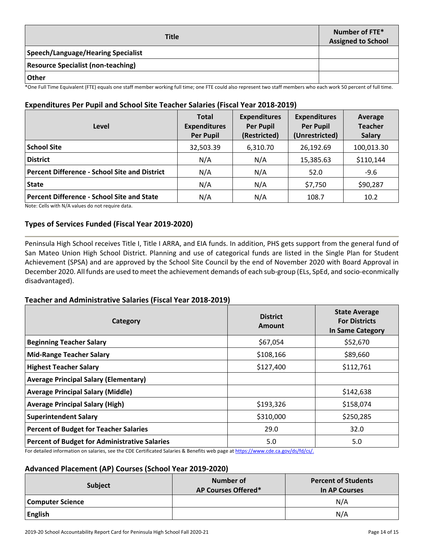| <b>Title</b>                              | Number of FTE*<br><b>Assigned to School</b> |
|-------------------------------------------|---------------------------------------------|
| <b>Speech/Language/Hearing Specialist</b> |                                             |
| <b>Resource Specialist (non-teaching)</b> |                                             |
| . Other                                   |                                             |

\*One Full Time Equivalent (FTE) equals one staff member working full time; one FTE could also represent two staff members who each work 50 percent of full time.

### **Expenditures Per Pupil and School Site Teacher Salaries (Fiscal Year 2018-2019)**

| Level                                                | <b>Total</b><br><b>Expenditures</b><br><b>Per Pupil</b> | <b>Expenditures</b><br><b>Per Pupil</b><br>(Restricted) | <b>Expenditures</b><br><b>Per Pupil</b><br>(Unrestricted) | Average<br><b>Teacher</b><br><b>Salary</b> |
|------------------------------------------------------|---------------------------------------------------------|---------------------------------------------------------|-----------------------------------------------------------|--------------------------------------------|
| <b>School Site</b>                                   | 32,503.39                                               | 6,310.70                                                | 26,192.69                                                 | 100,013.30                                 |
| <b>District</b>                                      | N/A                                                     | N/A                                                     | 15,385.63                                                 | \$110,144                                  |
| <b>Percent Difference - School Site and District</b> | N/A                                                     | N/A                                                     | 52.0                                                      | $-9.6$                                     |
| <b>State</b>                                         | N/A                                                     | N/A                                                     | \$7,750                                                   | \$90,287                                   |
| <b>Percent Difference - School Site and State</b>    | N/A                                                     | N/A                                                     | 108.7                                                     | 10.2                                       |

Note: Cells with N/A values do not require data.

### **Types of Services Funded (Fiscal Year 2019-2020)**

Peninsula High School receives Title I, Title I ARRA, and EIA funds. In addition, PHS gets support from the general fund of San Mateo Union High School District. Planning and use of categorical funds are listed in the Single Plan for Student Achievement (SPSA) and are approved by the School Site Council by the end of November 2020 with Board Approval in December 2020. All funds are used to meet the achievement demands of each sub-group (ELs, SpEd, and socio-econmically disadvantaged).

#### **Teacher and Administrative Salaries (Fiscal Year 2018-2019)**

| Category                                                                                                                                                              | <b>District</b><br><b>Amount</b> | <b>State Average</b><br><b>For Districts</b><br><b>In Same Category</b> |
|-----------------------------------------------------------------------------------------------------------------------------------------------------------------------|----------------------------------|-------------------------------------------------------------------------|
| <b>Beginning Teacher Salary</b>                                                                                                                                       | \$67,054                         | \$52,670                                                                |
| <b>Mid-Range Teacher Salary</b>                                                                                                                                       | \$108,166                        | \$89,660                                                                |
| <b>Highest Teacher Salary</b>                                                                                                                                         | \$127,400                        | \$112,761                                                               |
| <b>Average Principal Salary (Elementary)</b>                                                                                                                          |                                  |                                                                         |
| <b>Average Principal Salary (Middle)</b>                                                                                                                              |                                  | \$142,638                                                               |
| <b>Average Principal Salary (High)</b>                                                                                                                                | \$193,326                        | \$158,074                                                               |
| <b>Superintendent Salary</b>                                                                                                                                          | \$310,000                        | \$250,285                                                               |
| <b>Percent of Budget for Teacher Salaries</b>                                                                                                                         | 29.0                             | 32.0                                                                    |
| <b>Percent of Budget for Administrative Salaries</b><br>es discutations and constant in the coefficient clipses of profits and constitute $H$ and said the fields $I$ | 5.0                              | 5.0                                                                     |

For detailed information on salaries, see the CDE Certificated Salaries & Benefits web page at [https://www.cde.ca.gov/ds/fd/cs/.](https://www.cde.ca.gov/ds/fd/cs/)

#### **Advanced Placement (AP) Courses (School Year 2019-2020)**

| Subject          | Number of<br><b>AP Courses Offered*</b> | <b>Percent of Students</b><br>In AP Courses |
|------------------|-----------------------------------------|---------------------------------------------|
| Computer Science |                                         | N/A                                         |
| <b>English</b>   |                                         | N/A                                         |